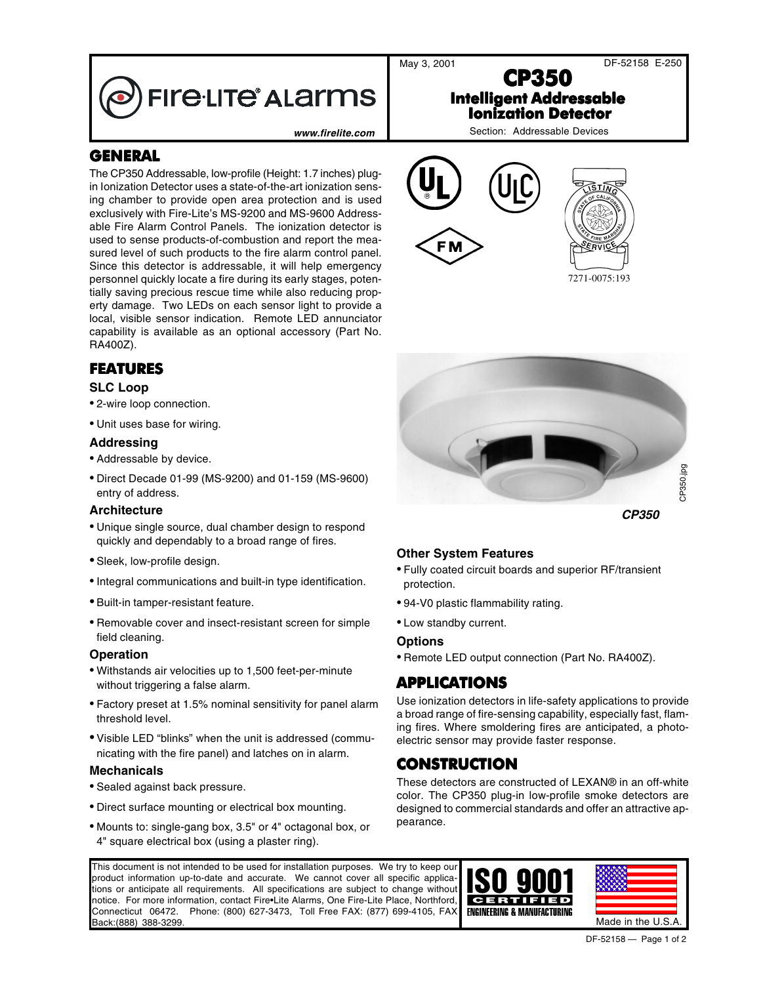**FIre·LITe<sup>®</sup> ALarms** 

www.firelite.com **Network** Section: Addressable Devices

## **GENERAL**

The CP350 Addressable, low-profile (Height: 1.7 inches) plugin Ionization Detector uses a state-of-the-art ionization sensing chamber to provide open area protection and is used exclusively with Fire-Lite's MS-9200 and MS-9600 Addressable Fire Alarm Control Panels. The ionization detector is used to sense products-of-combustion and report the measured level of such products to the fire alarm control panel. Since this detector is addressable, it will help emergency personnel quickly locate a fire during its early stages, potentially saving precious rescue time while also reducing property damage. Two LEDs on each sensor light to provide a local, visible sensor indication. Remote LED annunciator capability is available as an optional accessory (Part No. RA400Z).

### **FEATURES**

### **SLC Loop**

- 2-wire loop connection.
- Unit uses base for wiring.

### **Addressing**

- Addressable by device.
- Direct Decade 01-99 (MS-9200) and 01-159 (MS-9600) entry of address.

#### **Architecture**

- Unique single source, dual chamber design to respond quickly and dependably to a broad range of fires.
- Sleek, low-profile design.
- •Integral communications and built-in type identification.
- Built-in tamper-resistant feature.
- Removable cover and insect-resistant screen for simple field cleaning.

#### **Operation**

- Withstands air velocities up to 1,500 feet-per-minute without triggering a false alarm.
- Factory preset at 1.5% nominal sensitivity for panel alarm threshold level.
- Visible LED "blinks" when the unit is addressed (communicating with the fire panel) and latches on in alarm.

#### **Mechanicals**

- Sealed against back pressure.
- Direct surface mounting or electrical box mounting.
- Mounts to: single-gang box, 3.5" or 4" octagonal box, or 4" square electrical box (using a plaster ring).



**CP350 Intelligent Addressable Ionization Detector**

7271-0075:193



**CP350**

### **Other System Features**

- Fully coated circuit boards and superior RF/transient protection.
- 94-V0 plastic flammability rating.
- Low standby current.

#### **Options**

• Remote LED output connection (Part No. RA400Z).

### **APPLICATIONS**

Use ionization detectors in life-safety applications to provide a broad range of fire-sensing capability, especially fast, flaming fires. Where smoldering fires are anticipated, a photoelectric sensor may provide faster response. pearance. CP350.jpg

### **CONSTRUCTION**

These detectors are constructed of LEXAN® in an off-white color. The CP350 plug-in low-profile smoke detectors are designed to commercial standards and offer an attractive ap-

This document is not intended to be used for installation purposes. We try to keep our product information up-to-date and accurate. We cannot cover all specific applications or anticipate all requirements. All specifications are subject to change without notice. For more information, contact Fire•Lite Alarms, One Fire-Lite Place, Northford, Connecticut 06472. Phone: (800) 627-3473, Toll Free FAX: (877) 699-4105, FAX Back:(888) 388-3299. Made in the U.S.A.